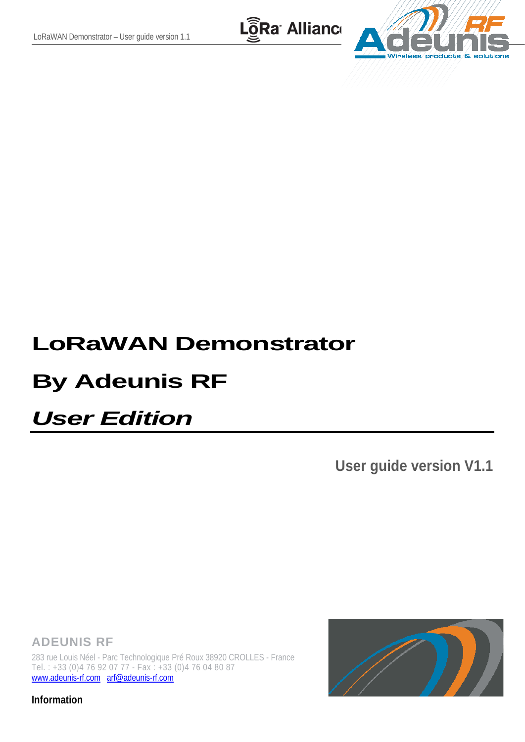LoRa Allianc



# **LoRaWAN Demonstrator**

# **By Adeunis RF**

# *User Edition*

**User guide version V1.1**

**ADEUNIS RF**

283 rue Louis Néel - Parc Technologique Pré Roux 38920 CROLLES - France Tel. : +33 (0)4 76 92 07 77 - Fax : +33 (0)4 76 04 80 87 [www.adeunis-rf.com](http://www.adeunis-rf.com/) [arf@adeunis-rf.com](mailto:arf@adeunis-rf.com)

**Information**

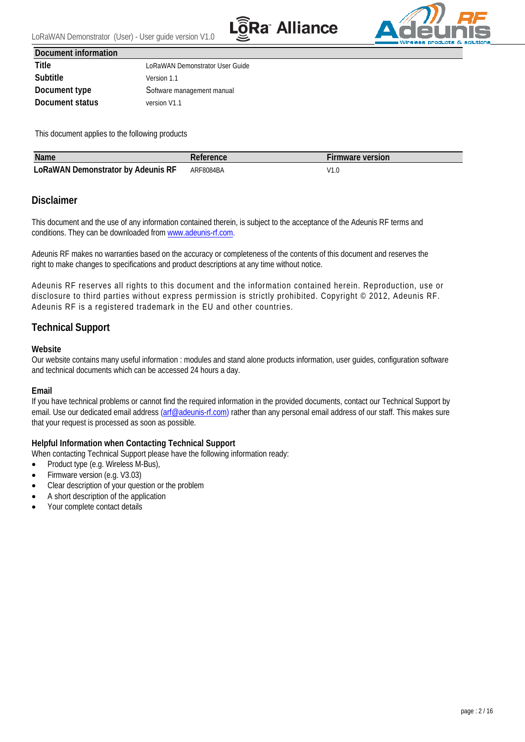



<span id="page-1-0"></span>**Document information**

**Title Title** LoRaWAN Demonstrator User Guide **Subtitle** Version 1.1 **Document type** Software management manual **Document status** version V1.1

This document applies to the following products

| <b>Name</b>                               |           | -irmware version                 |
|-------------------------------------------|-----------|----------------------------------|
| <b>LoRaWAN Demonstrator by Adeunis RF</b> | ARF8084BA | $\overline{11}$<br>ט.וי<br>_____ |

#### <span id="page-1-1"></span>**Disclaimer**

This document and the use of any information contained therein, is subject to the acceptance of the Adeunis RF terms and conditions. They can be downloaded from [www.adeunis-rf.com.](http://www.adeunis-rf.com/)

Adeunis RF makes no warranties based on the accuracy or completeness of the contents of this document and reserves the right to make changes to specifications and product descriptions at any time without notice.

Adeunis RF reserves all rights to this document and the information contained herein. Reproduction, use or disclosure to third parties without express permission is strictly prohibited. Copyright © 2012, Adeunis RF. Adeunis RF is a registered trademark in the EU and other countries.

### <span id="page-1-2"></span>**Technical Support**

#### **Website**

Our website contains many useful information : modules and stand alone products information, user guides, configuration software and technical documents which can be accessed 24 hours a day.

#### **Email**

If you have technical problems or cannot find the required information in the provided documents, contact our Technical Support by email. Use our dedicated email address [\(arf@adeunis-rf.com\)](mailto:arf@adeunis-rf.com) rather than any personal email address of our staff. This makes sure that your request is processed as soon as possible.

#### **Helpful Information when Contacting Technical Support**

When contacting Technical Support please have the following information ready:

- Product type (e.g. Wireless M-Bus),
- Firmware version (e.g. V3.03)
- Clear description of your question or the problem
- A short description of the application
- Your complete contact details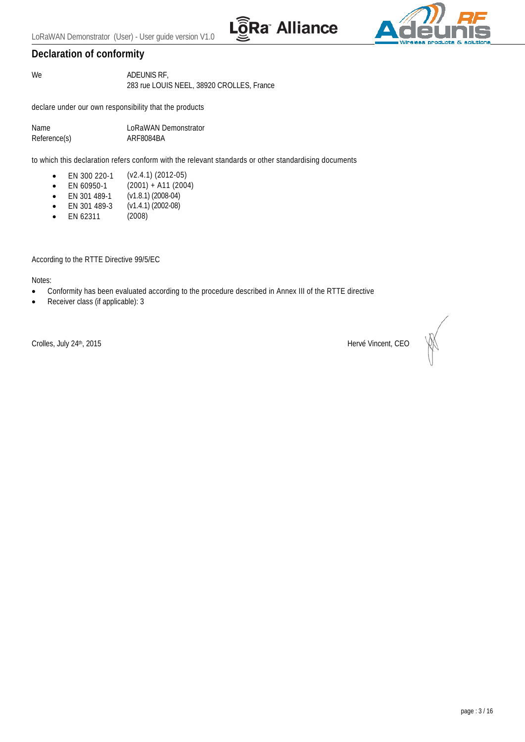



#### <span id="page-2-0"></span>**Declaration of conformity**

We **ADEUNIS RF**, 283 rue LOUIS NEEL, 38920 CROLLES, France

declare under our own responsibility that the products

| Name         | LoRaWAN Demonstrator |
|--------------|----------------------|
| Reference(s) | ARF8084BA            |

to which this declaration refers conform with the relevant standards or other standardising documents

- EN 300 220-1 (v2.4.1) (2012-05)
- EN 60950-1  $(2001) + A11 (2004)$
- EN 301 489-1 (v1.8.1) (2008-04)
- EN 301 489-3 (v1.4.1) (2002-08)
- $\bullet$  EN 62311

According to the RTTE Directive 99/5/EC

Notes:

- Conformity has been evaluated according to the procedure described in Annex III of the RTTE directive
- Receiver class (if applicable): 3

Crolles, July 24<sup>th</sup>, 2015 **Hervé Vincent, CEO**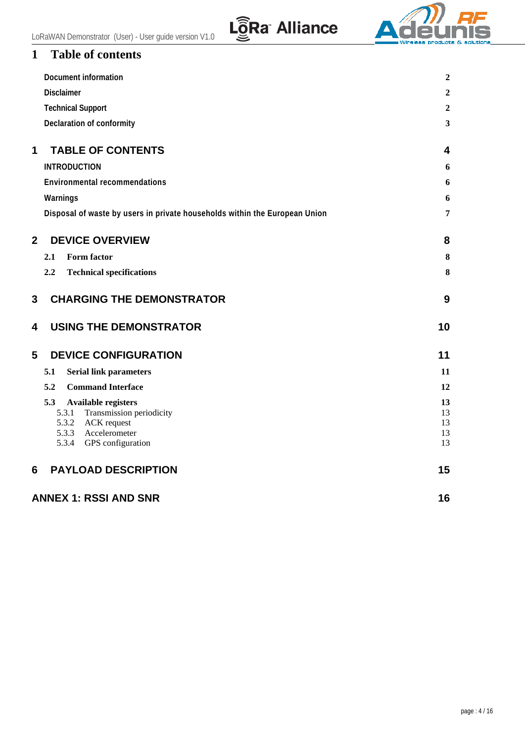

# <span id="page-3-0"></span>**1 Table of contents**

|                | <b>Document information</b>                                                                                                            | $\boldsymbol{2}$           |
|----------------|----------------------------------------------------------------------------------------------------------------------------------------|----------------------------|
|                | <b>Disclaimer</b>                                                                                                                      | $\boldsymbol{2}$           |
|                | <b>Technical Support</b>                                                                                                               | $\boldsymbol{2}$           |
|                | Declaration of conformity                                                                                                              | $\overline{\mathbf{3}}$    |
| 1              | <b>TABLE OF CONTENTS</b>                                                                                                               | 4                          |
|                | <b>INTRODUCTION</b>                                                                                                                    | 6                          |
|                | <b>Environmental recommendations</b>                                                                                                   | 6                          |
|                | Warnings                                                                                                                               | 6                          |
|                | Disposal of waste by users in private households within the European Union                                                             | 7                          |
| $\overline{2}$ | <b>DEVICE OVERVIEW</b>                                                                                                                 | 8                          |
|                | 2.1<br>Form factor                                                                                                                     | 8                          |
|                | <b>Technical specifications</b><br>$2.2\,$                                                                                             | 8                          |
| 3              | <b>CHARGING THE DEMONSTRATOR</b>                                                                                                       | 9                          |
| 4              | <b>USING THE DEMONSTRATOR</b>                                                                                                          | 10                         |
| 5              | <b>DEVICE CONFIGURATION</b>                                                                                                            | 11                         |
|                | <b>Serial link parameters</b><br>5.1                                                                                                   | 11                         |
|                | <b>Command Interface</b><br>5.2                                                                                                        | 12                         |
|                | 5.3<br>Available registers<br>Transmission periodicity<br>5.3.1<br>5.3.2 ACK request<br>5.3.3 Accelerometer<br>5.3.4 GPS configuration | 13<br>13<br>13<br>13<br>13 |
| 6              | <b>PAYLOAD DESCRIPTION</b>                                                                                                             | 15                         |
|                | <b>ANNEX 1: RSSI AND SNR</b>                                                                                                           | 16                         |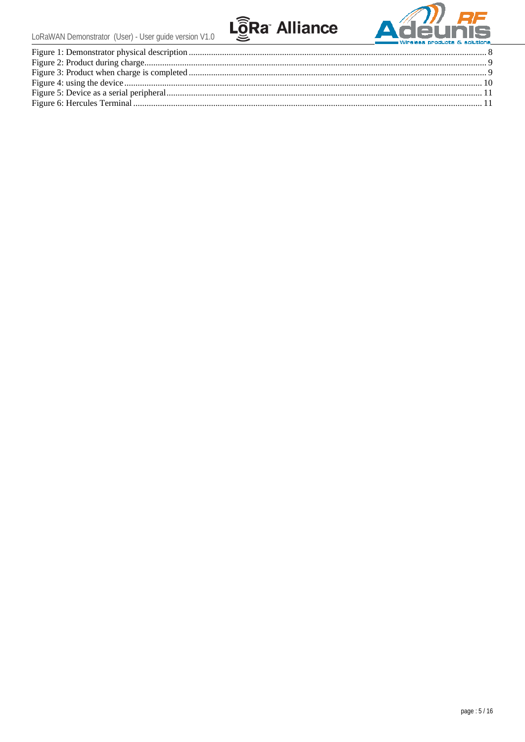

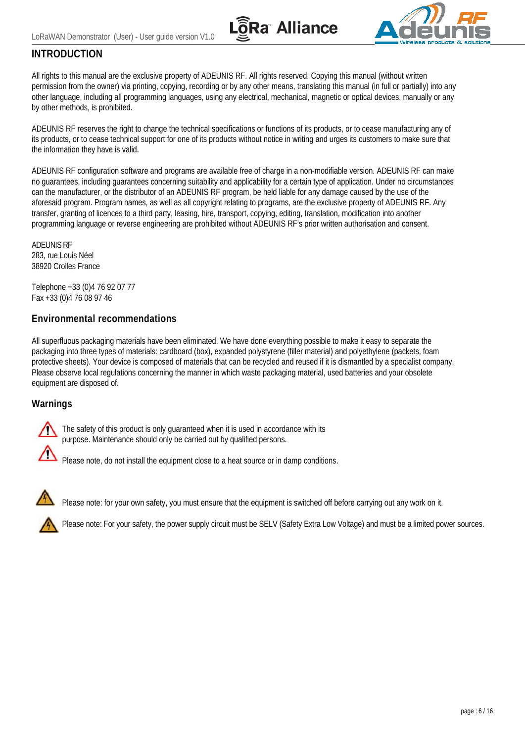



### <span id="page-5-0"></span>**INTRODUCTION**

All rights to this manual are the exclusive property of ADEUNIS RF. All rights reserved. Copying this manual (without written permission from the owner) via printing, copying, recording or by any other means, translating this manual (in full or partially) into any other language, including all programming languages, using any electrical, mechanical, magnetic or optical devices, manually or any by other methods, is prohibited.

ADEUNIS RF reserves the right to change the technical specifications or functions of its products, or to cease manufacturing any of its products, or to cease technical support for one of its products without notice in writing and urges its customers to make sure that the information they have is valid.

ADEUNIS RF configuration software and programs are available free of charge in a non-modifiable version. ADEUNIS RF can make no guarantees, including guarantees concerning suitability and applicability for a certain type of application. Under no circumstances can the manufacturer, or the distributor of an ADEUNIS RF program, be held liable for any damage caused by the use of the aforesaid program. Program names, as well as all copyright relating to programs, are the exclusive property of ADEUNIS RF. Any transfer, granting of licences to a third party, leasing, hire, transport, copying, editing, translation, modification into another programming language or reverse engineering are prohibited without ADEUNIS RF's prior written authorisation and consent.

ADEUNIS RF 283, rue Louis Néel 38920 Crolles France

Telephone +33 (0)4 76 92 07 77 Fax +33 (0)4 76 08 97 46

#### <span id="page-5-1"></span>**Environmental recommendations**

All superfluous packaging materials have been eliminated. We have done everything possible to make it easy to separate the packaging into three types of materials: cardboard (box), expanded polystyrene (filler material) and polyethylene (packets, foam protective sheets). Your device is composed of materials that can be recycled and reused if it is dismantled by a specialist company. Please observe local regulations concerning the manner in which waste packaging material, used batteries and your obsolete equipment are disposed of.

#### <span id="page-5-2"></span>**Warnings**



The safety of this product is only guaranteed when it is used in accordance with its purpose. Maintenance should only be carried out by qualified persons.

Please note, do not install the equipment close to a heat source or in damp conditions.



Please note: for your own safety, you must ensure that the equipment is switched off before carrying out any work on it.

Please note: For your safety, the power supply circuit must be SELV (Safety Extra Low Voltage) and must be a limited power sources.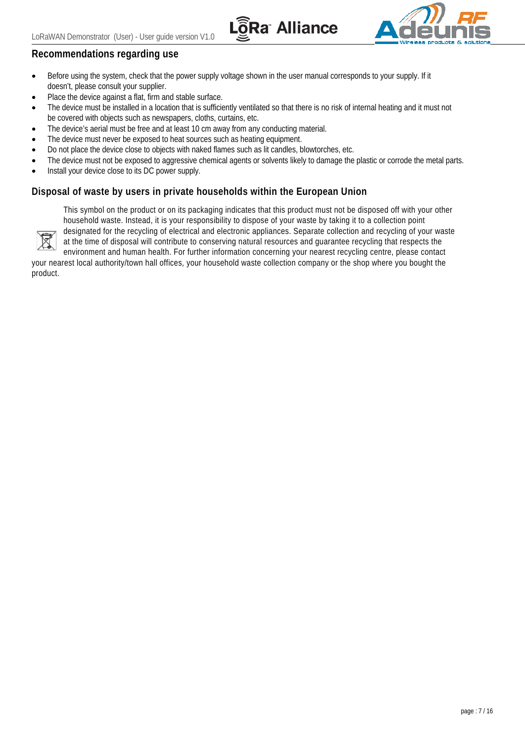



### **Recommendations regarding use**

- Before using the system, check that the power supply voltage shown in the user manual corresponds to your supply. If it doesn't, please consult your supplier.
- Place the device against a flat, firm and stable surface.
- The device must be installed in a location that is sufficiently ventilated so that there is no risk of internal heating and it must not be covered with objects such as newspapers, cloths, curtains, etc.
- The device's aerial must be free and at least 10 cm away from any conducting material.
- The device must never be exposed to heat sources such as heating equipment.
- Do not place the device close to objects with naked flames such as lit candles, blowtorches, etc.
- The device must not be exposed to aggressive chemical agents or solvents likely to damage the plastic or corrode the metal parts.
- Install your device close to its DC power supply.

#### <span id="page-6-0"></span>**Disposal of waste by users in private households within the European Union**



This symbol on the product or on its packaging indicates that this product must not be disposed off with your other household waste. Instead, it is your responsibility to dispose of your waste by taking it to a collection point designated for the recycling of electrical and electronic appliances. Separate collection and recycling of your waste at the time of disposal will contribute to conserving natural resources and guarantee recycling that respects the

environment and human health. For further information concerning your nearest recycling centre, please contact your nearest local authority/town hall offices, your household waste collection company or the shop where you bought the product.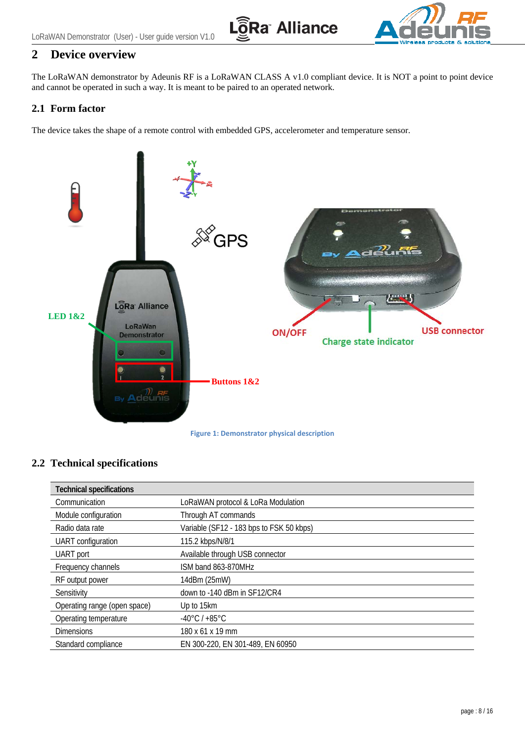



# <span id="page-7-0"></span>**2 Device overview**

The LoRaWAN demonstrator by Adeunis RF is a LoRaWAN CLASS A v1.0 compliant device. It is NOT a point to point device and cannot be operated in such a way. It is meant to be paired to an operated network.

#### <span id="page-7-1"></span>**2.1 Form factor**

The device takes the shape of a remote control with embedded GPS, accelerometer and temperature sensor.



#### <span id="page-7-3"></span><span id="page-7-2"></span>**2.2 Technical specifications**

| <b>Technical specifications</b> |                                          |
|---------------------------------|------------------------------------------|
| Communication                   | LoRaWAN protocol & LoRa Modulation       |
| Module configuration            | Through AT commands                      |
| Radio data rate                 | Variable (SF12 - 183 bps to FSK 50 kbps) |
| <b>UART</b> configuration       | 115.2 kbps/N/8/1                         |
| UART port                       | Available through USB connector          |
| Frequency channels              | ISM band 863-870MHz                      |
| RF output power                 | 14dBm (25mW)                             |
| Sensitivity                     | down to -140 dBm in SF12/CR4             |
| Operating range (open space)    | Up to 15km                               |
| Operating temperature           | $-40^{\circ}$ C / +85 $^{\circ}$ C       |
| <b>Dimensions</b>               | 180 x 61 x 19 mm                         |
| Standard compliance             | EN 300-220, EN 301-489, EN 60950         |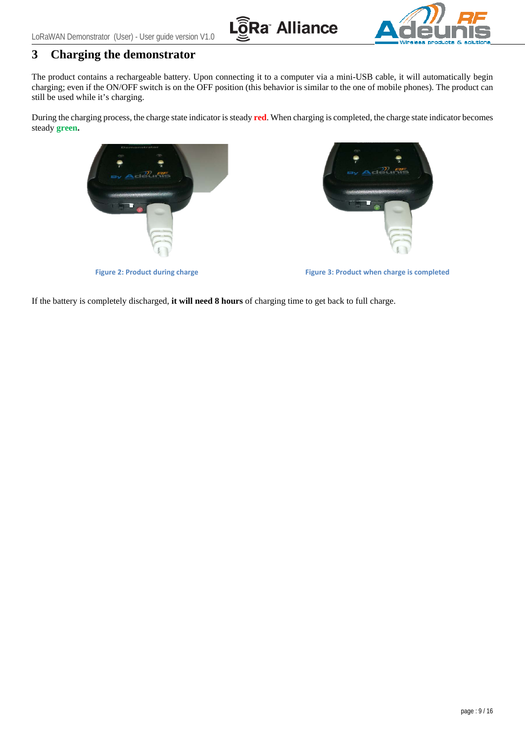

# <span id="page-8-0"></span>**3 Charging the demonstrator**

The product contains a rechargeable battery. Upon connecting it to a computer via a mini-USB cable, it will automatically begin charging; even if the ON/OFF switch is on the OFF position (this behavior is similar to the one of mobile phones). The product can still be used while it's charging.

During the charging process, the charge state indicator is steady **red**. When charging is completed, the charge state indicator becomes steady **green.**



<span id="page-8-2"></span>

**Figure 2: Product during charge Figure 3: Product when charge is completed**

<span id="page-8-1"></span>If the battery is completely discharged, **it will need 8 hours** of charging time to get back to full charge.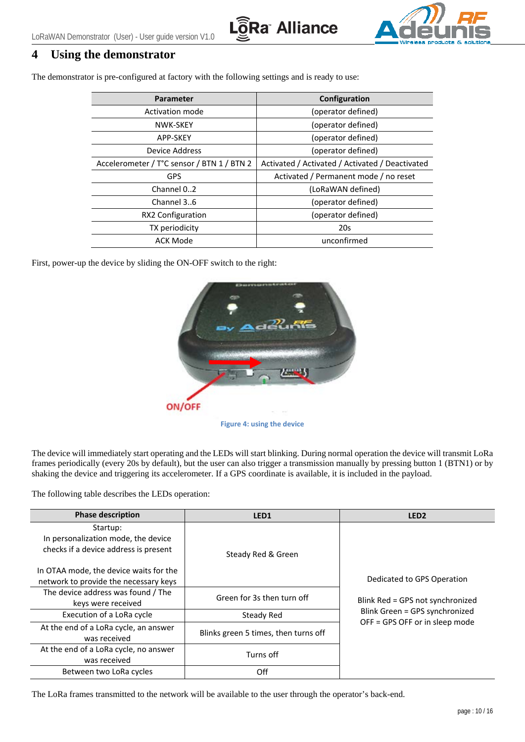



## <span id="page-9-0"></span>**4 Using the demonstrator**

The demonstrator is pre-configured at factory with the following settings and is ready to use:

| Parameter                                  | Configuration                                   |  |
|--------------------------------------------|-------------------------------------------------|--|
| Activation mode                            | (operator defined)                              |  |
| NWK-SKEY                                   | (operator defined)                              |  |
| <b>APP-SKEY</b>                            | (operator defined)                              |  |
| Device Address                             | (operator defined)                              |  |
| Accelerometer / T°C sensor / BTN 1 / BTN 2 | Activated / Activated / Activated / Deactivated |  |
| <b>GPS</b>                                 | Activated / Permanent mode / no reset           |  |
| Channel 02                                 | (LoRaWAN defined)                               |  |
| Channel 36                                 | (operator defined)                              |  |
| RX2 Configuration                          | (operator defined)                              |  |
| TX periodicity                             | 20s                                             |  |
| <b>ACK Mode</b>                            | unconfirmed                                     |  |

First, power-up the device by sliding the ON-OFF switch to the right:



**Figure 4: using the device**

<span id="page-9-1"></span>The device will immediately start operating and the LEDs will start blinking. During normal operation the device will transmit LoRa frames periodically (every 20s by default), but the user can also trigger a transmission manually by pressing button 1 (BTN1) or by shaking the device and triggering its accelerometer. If a GPS coordinate is available, it is included in the payload.

The following table describes the LEDs operation:

| <b>Phase description</b>                                                                 | LED <sub>1</sub>                     | LED <sub>2</sub>                                                 |
|------------------------------------------------------------------------------------------|--------------------------------------|------------------------------------------------------------------|
| Startup:<br>In personalization mode, the device<br>checks if a device address is present | Steady Red & Green                   |                                                                  |
| In OTAA mode, the device waits for the<br>network to provide the necessary keys          |                                      | Dedicated to GPS Operation                                       |
| The device address was found / The<br>keys were received                                 | Green for 3s then turn off           | Blink Red = GPS not synchronized                                 |
| Execution of a LoRa cycle                                                                | Steady Red                           | Blink Green = GPS synchronized<br>OFF = GPS OFF or in sleep mode |
| At the end of a LoRa cycle, an answer<br>was received                                    | Blinks green 5 times, then turns off |                                                                  |
| At the end of a LoRa cycle, no answer<br>was received                                    | Turns off                            |                                                                  |
| Between two LoRa cycles                                                                  | Off                                  |                                                                  |

The LoRa frames transmitted to the network will be available to the user through the operator's back-end.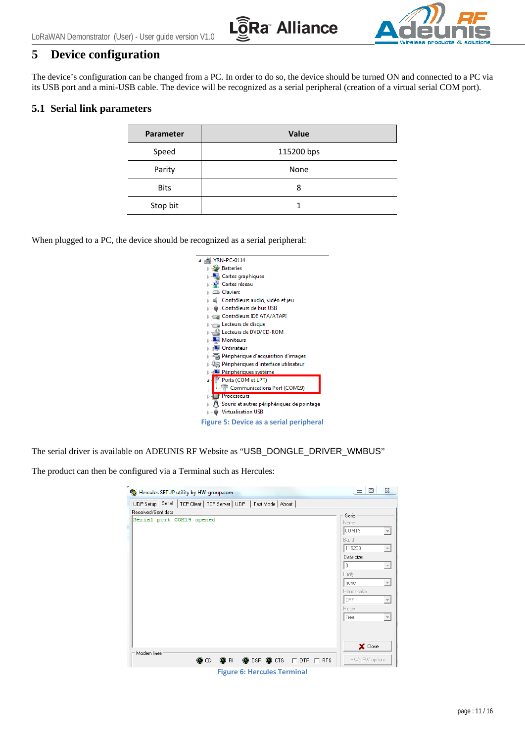

# <span id="page-10-0"></span>**5 Device configuration**

The device's configuration can be changed from a PC. In order to do so, the device should be turned ON and connected to a PC via its USB port and a mini-USB cable. The device will be recognized as a serial peripheral (creation of a virtual serial COM port).

#### <span id="page-10-1"></span>**5.1 Serial link parameters**

| <b>Parameter</b> | <b>Value</b> |  |  |
|------------------|--------------|--|--|
| Speed            | 115200 bps   |  |  |
| Parity           | None         |  |  |
| <b>Bits</b>      | 8            |  |  |
| Stop bit         |              |  |  |

When plugged to a PC, the device should be recognized as a serial peripheral:

| <b>YRN-PC-0114</b><br>4 - 21                                              |
|---------------------------------------------------------------------------|
| <b>Batteries</b>                                                          |
| <b>Delle Cartes graphiques</b>                                            |
| ⊳  i Cartes réseau                                                        |
| <b>D</b> Claviers                                                         |
| Contrôleurs audio, vidéo et jeu                                           |
| - U Contrôleurs de bus USB                                                |
| DE ATA/ATAPI اَنْتِ a Contrôleurs IDE ATA                                 |
| <b>D</b> <sub>n</sub> Lecteurs de disque                                  |
| ▷ - 월 Lecteurs de DVD/CD-ROM                                              |
| Moniteurs                                                                 |
| <b>D</b> Ordinateur                                                       |
| $\triangleright$ $\frac{1}{\sqrt{2}}$ Périphérique d'acquisition d'images |
| 》 『圜 Périphériques d'interface utilisateur                                |
| Périphériques système                                                     |
| <sup>T</sup> Ports (COM et LPT)<br>4                                      |
| <br>Communications Port (COM19)                                           |
| <b>Processeurs</b>                                                        |
| > -)" Souris et autres périphériques de pointage                          |
| <b>Virtualisation USB</b>                                                 |
| Figure 5: Device as a serial peripheral                                   |

<span id="page-10-2"></span>The serial driver is available on ADEUNIS RF Website as "USB\_DONGLE\_DRIVER\_WMBUS"

The product can then be configured via a Terminal such as Hercules:

| UDP Setup Serial   TCP Client   TCP Server   UDP   Test Mode   About  <br>Received/Sent data<br>Serial port COM19 opened |                                                                                                                                                                                                                                                                |
|--------------------------------------------------------------------------------------------------------------------------|----------------------------------------------------------------------------------------------------------------------------------------------------------------------------------------------------------------------------------------------------------------|
|                                                                                                                          |                                                                                                                                                                                                                                                                |
|                                                                                                                          | Serial<br>Name<br>COM19<br>$\overline{\nabla}$<br>Baud<br>115200<br>$\rightarrow$<br>Data size<br>18<br>$\overline{\psi}$<br>Parity<br>$\overline{\mathbb{R}}$<br>Inone<br>Handshake<br>OFF<br>$\overline{\nabla}$<br>Mode<br>Free<br>$\overline{\phantom{a}}$ |
| Modem lines                                                                                                              | X Close                                                                                                                                                                                                                                                        |

<span id="page-10-3"></span>**Figure 6: Hercules Terminal**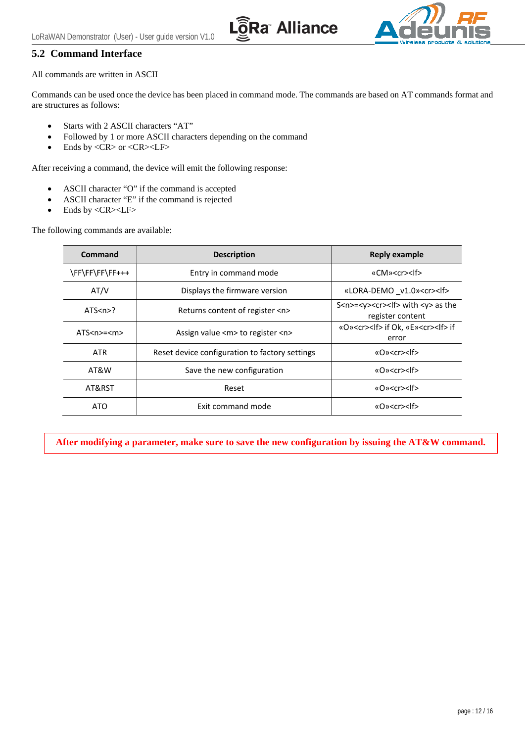

#### <span id="page-11-0"></span>**5.2 Command Interface**

All commands are written in ASCII

Commands can be used once the device has been placed in command mode. The commands are based on AT commands format and are structures as follows:

**Ra Alliance** 

- Starts with 2 ASCII characters "AT"
- Followed by 1 or more ASCII characters depending on the command
- Ends by <CR> or <CR><LF>

After receiving a command, the device will emit the following response:

- ASCII character "O" if the command is accepted
- ASCII character "E" if the command is rejected
- Ends by <CR><LF>

The following commands are available:

| Command                | <b>Description</b>                             | <b>Reply example</b>                                                             |  |
|------------------------|------------------------------------------------|----------------------------------------------------------------------------------|--|
| \FF\FF\FF\FF+++        | Entry in command mode                          | «CM» <cr><lf></lf></cr>                                                          |  |
| AT/V                   | Displays the firmware version                  | «LORA-DEMO v1.0» <cr><lf></lf></cr>                                              |  |
| ATS < n > ?            | Returns content of register <n></n>            | S <n>=<y><cr>&gt;<lf> with <y> as the<br/>register content</y></lf></cr></y></n> |  |
| ATS <sub>nn</sub> < m> | Assign value <m> to register <n></n></m>       | «O» <cr><lf> if Ok, «E»<cr><lf> if<br/>error</lf></cr></lf></cr>                 |  |
| ATR.                   | Reset device configuration to factory settings | «O» <cr><lf></lf></cr>                                                           |  |
| AT&W                   | Save the new configuration                     | «O» <cr><lf></lf></cr>                                                           |  |
| AT&RST                 | Reset                                          | «O» <cr><lf></lf></cr>                                                           |  |
| ATO                    | Exit command mode                              | «O» <cr><lf></lf></cr>                                                           |  |

**After modifying a parameter, make sure to save the new configuration by issuing the AT&W command.**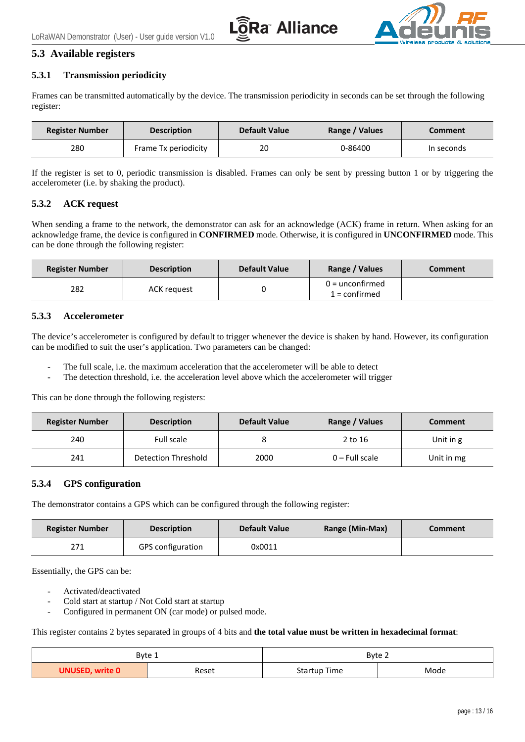



#### <span id="page-12-0"></span>**5.3 Available registers**

#### <span id="page-12-1"></span>**5.3.1 Transmission periodicity**

Frames can be transmitted automatically by the device. The transmission periodicity in seconds can be set through the following register:

| <b>Register Number</b> | <b>Description</b>   | <b>Default Value</b> | Range / Values | Comment    |
|------------------------|----------------------|----------------------|----------------|------------|
| 280                    | Frame Tx periodicity | 20                   | 0-86400        | In seconds |

If the register is set to 0, periodic transmission is disabled. Frames can only be sent by pressing button 1 or by triggering the accelerometer (i.e. by shaking the product).

#### <span id="page-12-2"></span>**5.3.2 ACK request**

When sending a frame to the network, the demonstrator can ask for an acknowledge (ACK) frame in return. When asking for an acknowledge frame, the device is configured in **CONFIRMED** mode. Otherwise, it is configured in **UNCONFIRMED** mode. This can be done through the following register:

| <b>Register Number</b> | <b>Description</b> | <b>Default Value</b> | Range / Values                     | <b>Comment</b> |
|------------------------|--------------------|----------------------|------------------------------------|----------------|
| 282                    | ACK request        |                      | $0 =$ unconfirmed<br>L = confirmed |                |

#### <span id="page-12-3"></span>**5.3.3 Accelerometer**

The device's accelerometer is configured by default to trigger whenever the device is shaken by hand. However, its configuration can be modified to suit the user's application. Two parameters can be changed:

- The full scale, i.e. the maximum acceleration that the accelerometer will be able to detect
- The detection threshold, i.e. the acceleration level above which the accelerometer will trigger

This can be done through the following registers:

| <b>Register Number</b> | <b>Description</b>         | <b>Default Value</b> | Range / Values   | <b>Comment</b> |
|------------------------|----------------------------|----------------------|------------------|----------------|
| 240                    | Full scale                 |                      | 2 to 16          | Unit in g      |
| 241                    | <b>Detection Threshold</b> | 2000                 | $0$ – Full scale | Unit in mg     |

#### <span id="page-12-4"></span>**5.3.4 GPS configuration**

The demonstrator contains a GPS which can be configured through the following register:

| <b>Register Number</b> | <b>Description</b>       | <b>Default Value</b> | Range (Min-Max) | <b>Comment</b> |
|------------------------|--------------------------|----------------------|-----------------|----------------|
| 771                    | <b>GPS</b> configuration | 0x0011               |                 |                |

Essentially, the GPS can be:

- Activated/deactivated
- Cold start at startup / Not Cold start at startup
- Configured in permanent ON (car mode) or pulsed mode.

This register contains 2 bytes separated in groups of 4 bits and **the total value must be written in hexadecimal format**:

| Byte 1                 |       | Byte 2       |      |  |
|------------------------|-------|--------------|------|--|
| <b>UNUSED, write 0</b> | Reset | Startup Time | Mode |  |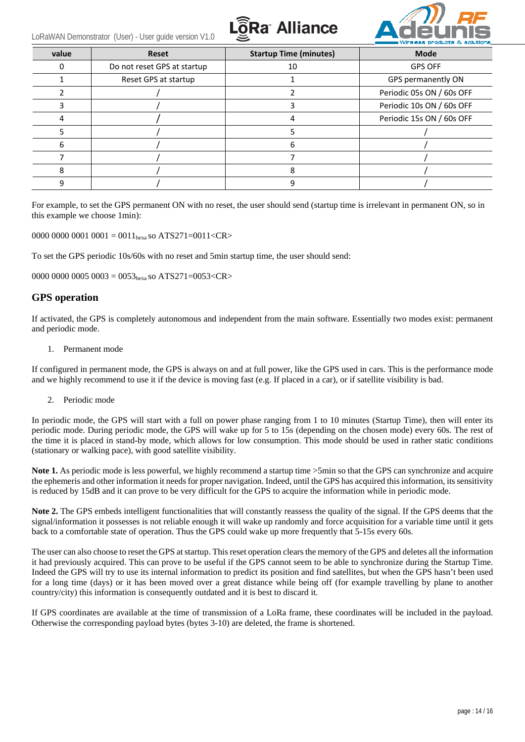





| value | <b>Reset</b>                | <b>Startup Time (minutes)</b> | <b>Mode</b>               |
|-------|-----------------------------|-------------------------------|---------------------------|
|       | Do not reset GPS at startup | 10                            | <b>GPS OFF</b>            |
|       | Reset GPS at startup        |                               | GPS permanently ON        |
|       |                             |                               | Periodic 05s ON / 60s OFF |
|       |                             |                               | Periodic 10s ON / 60s OFF |
|       |                             |                               | Periodic 15s ON / 60s OFF |
|       |                             |                               |                           |
| 6     |                             | b                             |                           |
|       |                             |                               |                           |
| 8     |                             |                               |                           |
|       |                             |                               |                           |

For example, to set the GPS permanent ON with no reset, the user should send (startup time is irrelevant in permanent ON, so in this example we choose 1min):

0000 0000 0001 0001 = 0011<sub>hexa</sub> so ATS271=0011<CR>

To set the GPS periodic 10s/60s with no reset and 5min startup time, the user should send:

0000 0000 0005 0003 =  $0.053_{hexa}$  so ATS271=0053<CR>

#### **GPS operation**

If activated, the GPS is completely autonomous and independent from the main software. Essentially two modes exist: permanent and periodic mode.

1. Permanent mode

If configured in permanent mode, the GPS is always on and at full power, like the GPS used in cars. This is the performance mode and we highly recommend to use it if the device is moving fast (e.g. If placed in a car), or if satellite visibility is bad.

2. Periodic mode

In periodic mode, the GPS will start with a full on power phase ranging from 1 to 10 minutes (Startup Time), then will enter its periodic mode. During periodic mode, the GPS will wake up for 5 to 15s (depending on the chosen mode) every 60s. The rest of the time it is placed in stand-by mode, which allows for low consumption. This mode should be used in rather static conditions (stationary or walking pace), with good satellite visibility.

**Note 1.** As periodic mode is less powerful, we highly recommend a startup time  $>5$ min so that the GPS can synchronize and acquire the ephemeris and other information it needs for proper navigation. Indeed, until the GPS has acquired this information, its sensitivity is reduced by 15dB and it can prove to be very difficult for the GPS to acquire the information while in periodic mode.

Note 2. The GPS embeds intelligent functionalities that will constantly reassess the quality of the signal. If the GPS deems that the signal/information it possesses is not reliable enough it will wake up randomly and force acquisition for a variable time until it gets back to a comfortable state of operation. Thus the GPS could wake up more frequently that 5-15s every 60s.

The user can also choose to reset the GPS at startup. This reset operation clears the memory of the GPS and deletes all the information it had previously acquired. This can prove to be useful if the GPS cannot seem to be able to synchronize during the Startup Time. Indeed the GPS will try to use its internal information to predict its position and find satellites, but when the GPS hasn't been used for a long time (days) or it has been moved over a great distance while being off (for example travelling by plane to another country/city) this information is consequently outdated and it is best to discard it.

If GPS coordinates are available at the time of transmission of a LoRa frame, these coordinates will be included in the payload. Otherwise the corresponding payload bytes (bytes 3-10) are deleted, the frame is shortened.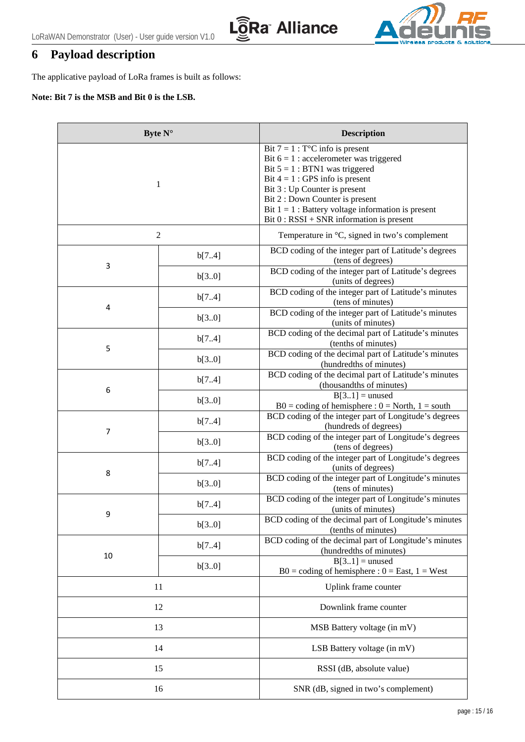



# <span id="page-14-0"></span>**6 Payload description**

The applicative payload of LoRa frames is built as follows:

#### **Note: Bit 7 is the MSB and Bit 0 is the LSB.**

| Byte $N^{\circ}$ |                  | <b>Description</b>                                                                                                                                                                                                                                                                                                                              |
|------------------|------------------|-------------------------------------------------------------------------------------------------------------------------------------------------------------------------------------------------------------------------------------------------------------------------------------------------------------------------------------------------|
| 1                |                  | Bit $7 = 1$ : T <sup>o</sup> C info is present<br>Bit $6 = 1$ : accelerometer was triggered<br>Bit $5 = 1$ : BTN1 was triggered<br>Bit $4 = 1$ : GPS info is present<br>Bit 3 : Up Counter is present<br>Bit 2 : Down Counter is present<br>Bit $1 = 1$ : Battery voltage information is present<br>$Bit 0 : RSSI + SNR information is present$ |
|                  | $\boldsymbol{2}$ | Temperature in °C, signed in two's complement                                                                                                                                                                                                                                                                                                   |
|                  | b[74]            | BCD coding of the integer part of Latitude's degrees<br>(tens of degrees)                                                                                                                                                                                                                                                                       |
| 3                | b[30]            | BCD coding of the integer part of Latitude's degrees<br>(units of degrees)                                                                                                                                                                                                                                                                      |
|                  | b[74]            | BCD coding of the integer part of Latitude's minutes<br>(tens of minutes)                                                                                                                                                                                                                                                                       |
| 4                | b[3.0]           | BCD coding of the integer part of Latitude's minutes<br>(units of minutes)                                                                                                                                                                                                                                                                      |
|                  | b[74]            | BCD coding of the decimal part of Latitude's minutes<br>(tenths of minutes)                                                                                                                                                                                                                                                                     |
| 5                | b[30]            | BCD coding of the decimal part of Latitude's minutes<br>(hundredths of minutes)                                                                                                                                                                                                                                                                 |
|                  | b[74]            | BCD coding of the decimal part of Latitude's minutes<br>(thousandths of minutes)                                                                                                                                                                                                                                                                |
| 6                | b[30]            | $B[31]$ = unused<br>$B0 = coding of hemisphere: 0 = North, 1 = south$                                                                                                                                                                                                                                                                           |
|                  | b[74]            | BCD coding of the integer part of Longitude's degrees<br>(hundreds of degrees)                                                                                                                                                                                                                                                                  |
| $\overline{7}$   | b[30]            | BCD coding of the integer part of Longitude's degrees<br>(tens of degrees)                                                                                                                                                                                                                                                                      |
|                  | b[74]            | BCD coding of the integer part of Longitude's degrees<br>(units of degrees)                                                                                                                                                                                                                                                                     |
| 8                | b[30]            | BCD coding of the integer part of Longitude's minutes<br>(tens of minutes)                                                                                                                                                                                                                                                                      |
|                  | b[74]            | BCD coding of the integer part of Longitude's minutes<br>(units of minutes)                                                                                                                                                                                                                                                                     |
| 9                | b[30]            | BCD coding of the decimal part of Longitude's minutes<br>(tenths of minutes)                                                                                                                                                                                                                                                                    |
|                  | b[74]            | BCD coding of the decimal part of Longitude's minutes<br>(hundredths of minutes)                                                                                                                                                                                                                                                                |
| 10               | b[30]            | $B[31] =$ unused<br>$B0 = coding of hemisphere : 0 = East, 1 = West$                                                                                                                                                                                                                                                                            |
| 11               |                  | Uplink frame counter                                                                                                                                                                                                                                                                                                                            |
| 12               |                  | Downlink frame counter                                                                                                                                                                                                                                                                                                                          |
| 13               |                  | MSB Battery voltage (in mV)                                                                                                                                                                                                                                                                                                                     |
| 14               |                  | LSB Battery voltage (in mV)                                                                                                                                                                                                                                                                                                                     |
| 15               |                  | RSSI (dB, absolute value)                                                                                                                                                                                                                                                                                                                       |
| 16               |                  | SNR (dB, signed in two's complement)                                                                                                                                                                                                                                                                                                            |